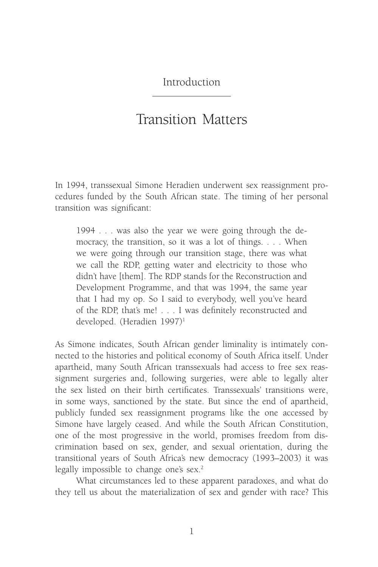Introduction

## Transition Matters

In 1994, transsexual Simone Heradien underwent sex reassignment procedures funded by the South African state. The timing of her personal transition was significant:

1994 . . . was also the year we were going through the democracy, the transition, so it was a lot of things. . . . When we were going through our transition stage, there was what we call the RDP, getting water and electricity to those who didn't have [them]. The RDP stands for the Reconstruction and Development Programme, and that was 1994, the same year that I had my op. So I said to everybody, well you've heard of the RDP, that's me! . . . I was definitely reconstructed and developed. (Heradien 1997)<sup>1</sup>

As Simone indicates, South African gender liminality is intimately connected to the histories and political economy of South Africa itself. Under apartheid, many South African transsexuals had access to free sex reassignment surgeries and, following surgeries, were able to legally alter the sex listed on their birth certificates. Transsexuals' transitions were, in some ways, sanctioned by the state. But since the end of apartheid, publicly funded sex reassignment programs like the one accessed by Simone have largely ceased. And while the South African Constitution, one of the most progressive in the world, promises freedom from discrimination based on sex, gender, and sexual orientation, during the transitional years of South Africa's new democracy (1993–2003) it was legally impossible to change one's sex.<sup>2</sup>

What circumstances led to these apparent paradoxes, and what do they tell us about the materialization of sex and gender with race? This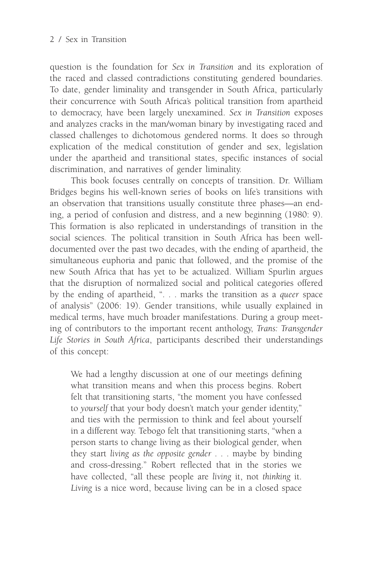question is the foundation for *Sex in Transition* and its exploration of the raced and classed contradictions constituting gendered boundaries. To date, gender liminality and transgender in South Africa, particularly their concurrence with South Africa's political transition from apartheid to democracy, have been largely unexamined. *Sex in Transition* exposes and analyzes cracks in the man/woman binary by investigating raced and classed challenges to dichotomous gendered norms. It does so through explication of the medical constitution of gender and sex, legislation under the apartheid and transitional states, specific instances of social discrimination, and narratives of gender liminality.

This book focuses centrally on concepts of transition. Dr. William Bridges begins his well-known series of books on life's transitions with an observation that transitions usually constitute three phases—an ending, a period of confusion and distress, and a new beginning (1980: 9). This formation is also replicated in understandings of transition in the social sciences. The political transition in South Africa has been welldocumented over the past two decades, with the ending of apartheid, the simultaneous euphoria and panic that followed, and the promise of the new South Africa that has yet to be actualized. William Spurlin argues that the disruption of normalized social and political categories offered by the ending of apartheid, ". . . marks the transition as a *queer* space of analysis" (2006: 19). Gender transitions, while usually explained in medical terms, have much broader manifestations. During a group meeting of contributors to the important recent anthology, *Trans: Transgender Life Stories in South Africa*, participants described their understandings of this concept:

We had a lengthy discussion at one of our meetings defining what transition means and when this process begins. Robert felt that transitioning starts, "the moment you have confessed to *yourself* that your body doesn't match your gender identity," and ties with the permission to think and feel about yourself in a different way. Tebogo felt that transitioning starts, "when a person starts to change living as their biological gender, when they start *living as the opposite gender* . . . maybe by binding and cross-dressing." Robert reflected that in the stories we have collected, "all these people are *living* it, not *thinking* it. *Living* is a nice word, because living can be in a closed space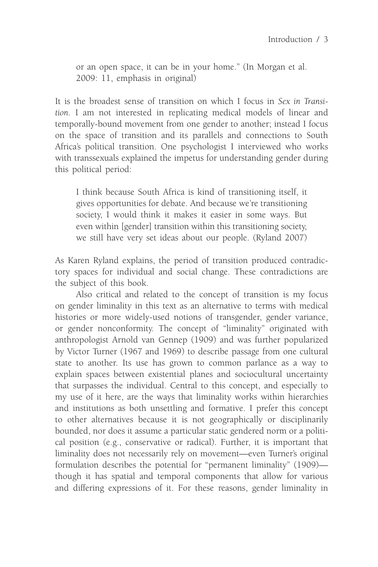or an open space, it can be in your home." (In Morgan et al. 2009: 11, emphasis in original)

It is the broadest sense of transition on which I focus in *Sex in Transition*. I am not interested in replicating medical models of linear and temporally-bound movement from one gender to another; instead I focus on the space of transition and its parallels and connections to South Africa's political transition. One psychologist I interviewed who works with transsexuals explained the impetus for understanding gender during this political period:

I think because South Africa is kind of transitioning itself, it gives opportunities for debate. And because we're transitioning society, I would think it makes it easier in some ways. But even within [gender] transition within this transitioning society, we still have very set ideas about our people. (Ryland 2007)

As Karen Ryland explains, the period of transition produced contradictory spaces for individual and social change. These contradictions are the subject of this book.

Also critical and related to the concept of transition is my focus on gender liminality in this text as an alternative to terms with medical histories or more widely-used notions of transgender, gender variance, or gender nonconformity. The concept of "liminality" originated with anthropologist Arnold van Gennep (1909) and was further popularized by Victor Turner (1967 and 1969) to describe passage from one cultural state to another. Its use has grown to common parlance as a way to explain spaces between existential planes and sociocultural uncertainty that surpasses the individual. Central to this concept, and especially to my use of it here, are the ways that liminality works within hierarchies and institutions as both unsettling and formative. I prefer this concept to other alternatives because it is not geographically or disciplinarily bounded, nor does it assume a particular static gendered norm or a political position (e.g., conservative or radical). Further, it is important that liminality does not necessarily rely on movement—even Turner's original formulation describes the potential for "permanent liminality" (1909) though it has spatial and temporal components that allow for various and differing expressions of it. For these reasons, gender liminality in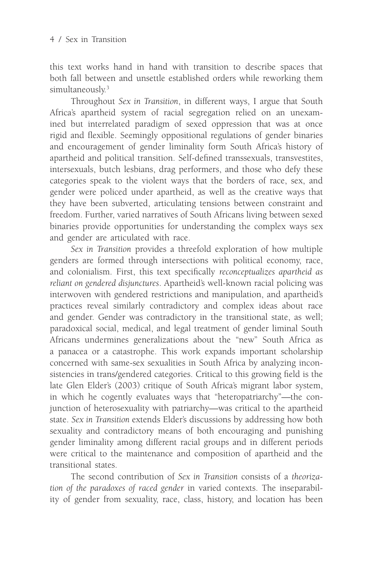this text works hand in hand with transition to describe spaces that both fall between and unsettle established orders while reworking them simultaneously.<sup>3</sup>

Throughout *Sex in Transition*, in different ways, I argue that South Africa's apartheid system of racial segregation relied on an unexamined but interrelated paradigm of sexed oppression that was at once rigid and flexible. Seemingly oppositional regulations of gender binaries and encouragement of gender liminality form South Africa's history of apartheid and political transition. Self-defined transsexuals, transvestites, intersexuals, butch lesbians, drag performers, and those who defy these categories speak to the violent ways that the borders of race, sex, and gender were policed under apartheid, as well as the creative ways that they have been subverted, articulating tensions between constraint and freedom. Further, varied narratives of South Africans living between sexed binaries provide opportunities for understanding the complex ways sex and gender are articulated with race.

*Sex in Transition* provides a threefold exploration of how multiple genders are formed through intersections with political economy, race, and colonialism. First, this text specifically *reconceptualizes apartheid as reliant on gendered disjunctures*. Apartheid's well-known racial policing was interwoven with gendered restrictions and manipulation, and apartheid's practices reveal similarly contradictory and complex ideas about race and gender. Gender was contradictory in the transitional state, as well; paradoxical social, medical, and legal treatment of gender liminal South Africans undermines generalizations about the "new" South Africa as a panacea or a catastrophe. This work expands important scholarship concerned with same-sex sexualities in South Africa by analyzing inconsistencies in trans/gendered categories. Critical to this growing field is the late Glen Elder's (2003) critique of South Africa's migrant labor system, in which he cogently evaluates ways that "heteropatriarchy"—the conjunction of heterosexuality with patriarchy—was critical to the apartheid state. *Sex in Transition* extends Elder's discussions by addressing how both sexuality and contradictory means of both encouraging and punishing gender liminality among different racial groups and in different periods were critical to the maintenance and composition of apartheid and the transitional states.

The second contribution of *Sex in Transition* consists of a *theorization of the paradoxes of raced gender* in varied contexts. The inseparability of gender from sexuality, race, class, history, and location has been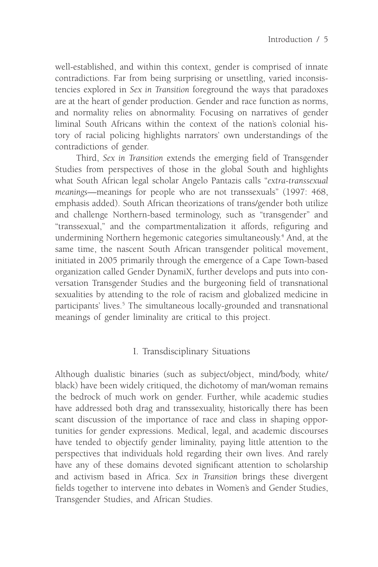well-established, and within this context, gender is comprised of innate contradictions. Far from being surprising or unsettling, varied inconsistencies explored in *Sex in Transition* foreground the ways that paradoxes are at the heart of gender production. Gender and race function as norms, and normality relies on abnormality. Focusing on narratives of gender liminal South Africans within the context of the nation's colonial history of racial policing highlights narrators' own understandings of the contradictions of gender.

Third, *Sex in Transition* extends the emerging field of Transgender Studies from perspectives of those in the global South and highlights what South African legal scholar Angelo Pantazis calls "*extra-transsexual meanings*—meanings for people who are not transsexuals" (1997: 468, emphasis added). South African theorizations of trans/gender both utilize and challenge Northern-based terminology, such as "transgender" and "transsexual," and the compartmentalization it affords, refiguring and undermining Northern hegemonic categories simultaneously.<sup>4</sup> And, at the same time, the nascent South African transgender political movement, initiated in 2005 primarily through the emergence of a Cape Town-based organization called Gender DynamiX, further develops and puts into conversation Transgender Studies and the burgeoning field of transnational sexualities by attending to the role of racism and globalized medicine in participants' lives.<sup>5</sup> The simultaneous locally-grounded and transnational meanings of gender liminality are critical to this project.

## I. Transdisciplinary Situations

Although dualistic binaries (such as subject/object, mind/body, white/ black) have been widely critiqued, the dichotomy of man/woman remains the bedrock of much work on gender. Further, while academic studies have addressed both drag and transsexuality, historically there has been scant discussion of the importance of race and class in shaping opportunities for gender expressions. Medical, legal, and academic discourses have tended to objectify gender liminality, paying little attention to the perspectives that individuals hold regarding their own lives. And rarely have any of these domains devoted significant attention to scholarship and activism based in Africa. *Sex in Transition* brings these divergent fields together to intervene into debates in Women's and Gender Studies, Transgender Studies, and African Studies.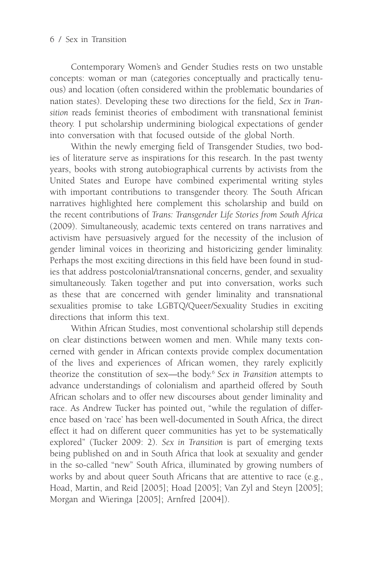Contemporary Women's and Gender Studies rests on two unstable concepts: woman or man (categories conceptually and practically tenuous) and location (often considered within the problematic boundaries of nation states). Developing these two directions for the field, *Sex in Transition* reads feminist theories of embodiment with transnational feminist theory. I put scholarship undermining biological expectations of gender into conversation with that focused outside of the global North.

Within the newly emerging field of Transgender Studies, two bodies of literature serve as inspirations for this research. In the past twenty years, books with strong autobiographical currents by activists from the United States and Europe have combined experimental writing styles with important contributions to transgender theory. The South African narratives highlighted here complement this scholarship and build on the recent contributions of *Trans: Transgender Life Stories from South Africa* (2009). Simultaneously, academic texts centered on trans narratives and activism have persuasively argued for the necessity of the inclusion of gender liminal voices in theorizing and historicizing gender liminality. Perhaps the most exciting directions in this field have been found in studies that address postcolonial/transnational concerns, gender, and sexuality simultaneously. Taken together and put into conversation, works such as these that are concerned with gender liminality and transnational sexualities promise to take LGBTQ/Queer/Sexuality Studies in exciting directions that inform this text.

Within African Studies, most conventional scholarship still depends on clear distinctions between women and men. While many texts concerned with gender in African contexts provide complex documentation of the lives and experiences of African women, they rarely explicitly theorize the constitution of sex—the body.6 *Sex in Transition* attempts to advance understandings of colonialism and apartheid offered by South African scholars and to offer new discourses about gender liminality and race. As Andrew Tucker has pointed out, "while the regulation of difference based on 'race' has been well-documented in South Africa, the direct effect it had on different queer communities has yet to be systematically explored" (Tucker 2009: 2). *Sex in Transition* is part of emerging texts being published on and in South Africa that look at sexuality and gender in the so-called "new" South Africa, illuminated by growing numbers of works by and about queer South Africans that are attentive to race (e.g., Hoad, Martin, and Reid [2005]; Hoad [2005]; Van Zyl and Steyn [2005]; Morgan and Wieringa [2005]; Arnfred [2004]).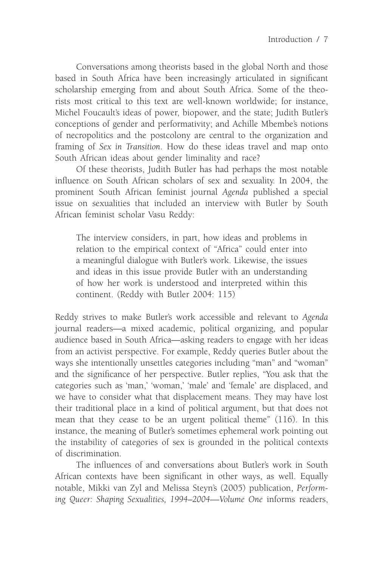Conversations among theorists based in the global North and those based in South Africa have been increasingly articulated in significant scholarship emerging from and about South Africa. Some of the theorists most critical to this text are well-known worldwide; for instance, Michel Foucault's ideas of power, biopower, and the state; Judith Butler's conceptions of gender and performativity; and Achille Mbembe's notions of necropolitics and the postcolony are central to the organization and framing of *Sex in Transition*. How do these ideas travel and map onto South African ideas about gender liminality and race?

Of these theorists, Judith Butler has had perhaps the most notable influence on South African scholars of sex and sexuality. In 2004, the prominent South African feminist journal *Agenda* published a special issue on sexualities that included an interview with Butler by South African feminist scholar Vasu Reddy:

The interview considers, in part, how ideas and problems in relation to the empirical context of "Africa" could enter into a meaningful dialogue with Butler's work. Likewise, the issues and ideas in this issue provide Butler with an understanding of how her work is understood and interpreted within this continent. (Reddy with Butler 2004: 115)

Reddy strives to make Butler's work accessible and relevant to *Agenda* journal readers—a mixed academic, political organizing, and popular audience based in South Africa—asking readers to engage with her ideas from an activist perspective. For example, Reddy queries Butler about the ways she intentionally unsettles categories including "man" and "woman" and the significance of her perspective. Butler replies, "You ask that the categories such as 'man,' 'woman,' 'male' and 'female' are displaced, and we have to consider what that displacement means. They may have lost their traditional place in a kind of political argument, but that does not mean that they cease to be an urgent political theme" (116). In this instance, the meaning of Butler's sometimes ephemeral work pointing out the instability of categories of sex is grounded in the political contexts of discrimination.

The influences of and conversations about Butler's work in South African contexts have been significant in other ways, as well. Equally notable, Mikki van Zyl and Melissa Steyn's (2005) publication, *Performing Queer: Shaping Sexualities, 1994–2004—Volume One* informs readers,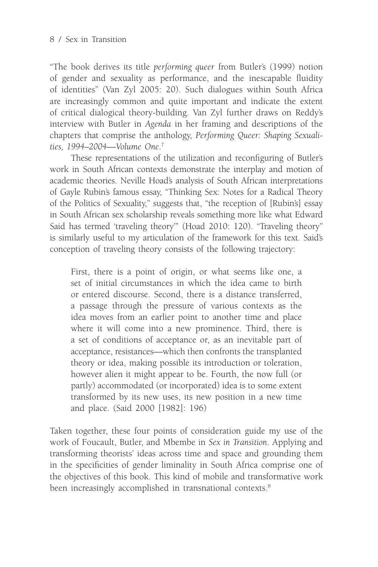"The book derives its title *performing queer* from Butler's (1999) notion of gender and sexuality as performance, and the inescapable fluidity of identities" (Van Zyl 2005: 20). Such dialogues within South Africa are increasingly common and quite important and indicate the extent of critical dialogical theory-building. Van Zyl further draws on Reddy's interview with Butler in *Agenda* in her framing and descriptions of the chapters that comprise the anthology, *Performing Queer: Shaping Sexualities, 1994–2004—Volume One*. 7

These representations of the utilization and reconfiguring of Butler's work in South African contexts demonstrate the interplay and motion of academic theories. Neville Hoad's analysis of South African interpretations of Gayle Rubin's famous essay, "Thinking Sex: Notes for a Radical Theory of the Politics of Sexuality," suggests that, "the reception of [Rubin's] essay in South African sex scholarship reveals something more like what Edward Said has termed 'traveling theory'" (Hoad 2010: 120). "Traveling theory" is similarly useful to my articulation of the framework for this text. Said's conception of traveling theory consists of the following trajectory:

First, there is a point of origin, or what seems like one, a set of initial circumstances in which the idea came to birth or entered discourse. Second, there is a distance transferred, a passage through the pressure of various contexts as the idea moves from an earlier point to another time and place where it will come into a new prominence. Third, there is a set of conditions of acceptance or, as an inevitable part of acceptance, resistances—which then confronts the transplanted theory or idea, making possible its introduction or toleration, however alien it might appear to be. Fourth, the now full (or partly) accommodated (or incorporated) idea is to some extent transformed by its new uses, its new position in a new time and place. (Said 2000 [1982]: 196)

Taken together, these four points of consideration guide my use of the work of Foucault, Butler, and Mbembe in *Sex in Transition*. Applying and transforming theorists' ideas across time and space and grounding them in the specificities of gender liminality in South Africa comprise one of the objectives of this book. This kind of mobile and transformative work been increasingly accomplished in transnational contexts.<sup>8</sup>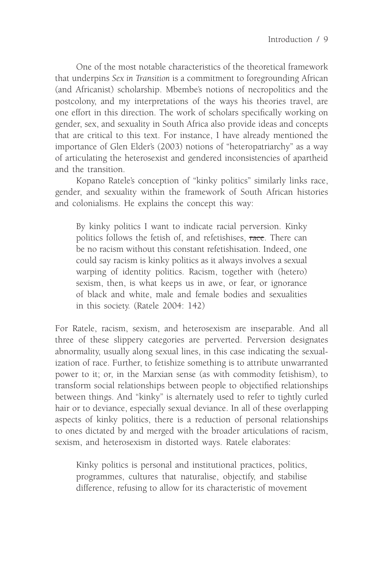One of the most notable characteristics of the theoretical framework that underpins *Sex in Transition* is a commitment to foregrounding African (and Africanist) scholarship. Mbembe's notions of necropolitics and the postcolony, and my interpretations of the ways his theories travel, are one effort in this direction. The work of scholars specifically working on gender, sex, and sexuality in South Africa also provide ideas and concepts that are critical to this text. For instance, I have already mentioned the importance of Glen Elder's (2003) notions of "heteropatriarchy" as a way of articulating the heterosexist and gendered inconsistencies of apartheid and the transition.

Kopano Ratele's conception of "kinky politics" similarly links race, gender, and sexuality within the framework of South African histories and colonialisms. He explains the concept this way:

By kinky politics I want to indicate racial perversion. Kinky politics follows the fetish of, and refetishises, race. There can be no racism without this constant refetishisation. Indeed, one could say racism is kinky politics as it always involves a sexual warping of identity politics. Racism, together with (hetero) sexism, then, is what keeps us in awe, or fear, or ignorance of black and white, male and female bodies and sexualities in this society. (Ratele 2004: 142)

For Ratele, racism, sexism, and heterosexism are inseparable. And all three of these slippery categories are perverted. Perversion designates abnormality, usually along sexual lines, in this case indicating the sexualization of race. Further, to fetishize something is to attribute unwarranted power to it; or, in the Marxian sense (as with commodity fetishism), to transform social relationships between people to objectified relationships between things. And "kinky" is alternately used to refer to tightly curled hair or to deviance, especially sexual deviance. In all of these overlapping aspects of kinky politics, there is a reduction of personal relationships to ones dictated by and merged with the broader articulations of racism, sexism, and heterosexism in distorted ways. Ratele elaborates:

Kinky politics is personal and institutional practices, politics, programmes, cultures that naturalise, objectify, and stabilise difference, refusing to allow for its characteristic of movement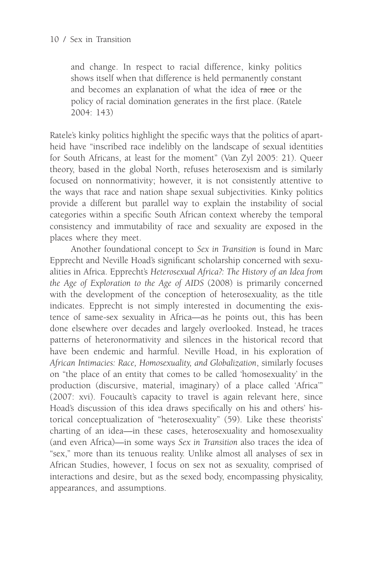and change. In respect to racial difference, kinky politics shows itself when that difference is held permanently constant and becomes an explanation of what the idea of race or the policy of racial domination generates in the first place. (Ratele 2004: 143)

Ratele's kinky politics highlight the specific ways that the politics of apartheid have "inscribed race indelibly on the landscape of sexual identities for South Africans, at least for the moment" (Van Zyl 2005: 21). Queer theory, based in the global North, refuses heterosexism and is similarly focused on nonnormativity; however, it is not consistently attentive to the ways that race and nation shape sexual subjectivities. Kinky politics provide a different but parallel way to explain the instability of social categories within a specific South African context whereby the temporal consistency and immutability of race and sexuality are exposed in the places where they meet.

Another foundational concept to *Sex in Transition* is found in Marc Epprecht and Neville Hoad's significant scholarship concerned with sexualities in Africa. Epprecht's *Heterosexual Africa?: The History of an Idea from the Age of Exploration to the Age of AIDS* (2008) is primarily concerned with the development of the conception of heterosexuality, as the title indicates. Epprecht is not simply interested in documenting the existence of same-sex sexuality in Africa—as he points out, this has been done elsewhere over decades and largely overlooked. Instead, he traces patterns of heteronormativity and silences in the historical record that have been endemic and harmful. Neville Hoad, in his exploration of *African Intimacies: Race, Homosexuality, and Globalization*, similarly focuses on "the place of an entity that comes to be called 'homosexuality' in the production (discursive, material, imaginary) of a place called 'Africa'" (2007: xvi). Foucault's capacity to travel is again relevant here, since Hoad's discussion of this idea draws specifically on his and others' historical conceptualization of "heterosexuality" (59). Like these theorists' charting of an idea—in these cases, heterosexuality and homosexuality (and even Africa)—in some ways *Sex in Transition* also traces the idea of "sex," more than its tenuous reality. Unlike almost all analyses of sex in African Studies, however, I focus on sex not as sexuality, comprised of interactions and desire, but as the sexed body, encompassing physicality, appearances, and assumptions.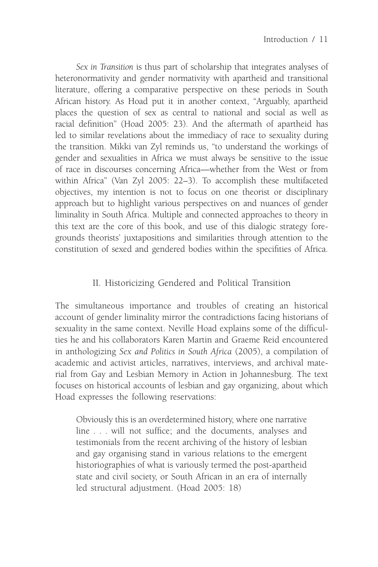*Sex in Transition* is thus part of scholarship that integrates analyses of heteronormativity and gender normativity with apartheid and transitional literature, offering a comparative perspective on these periods in South African history. As Hoad put it in another context, "Arguably, apartheid places the question of sex as central to national and social as well as racial definition" (Hoad 2005: 23). And the aftermath of apartheid has led to similar revelations about the immediacy of race to sexuality during the transition. Mikki van Zyl reminds us, "to understand the workings of gender and sexualities in Africa we must always be sensitive to the issue of race in discourses concerning Africa—whether from the West or from within Africa" (Van Zyl 2005: 22*–*3). To accomplish these multifaceted objectives, my intention is not to focus on one theorist or disciplinary approach but to highlight various perspectives on and nuances of gender liminality in South Africa. Multiple and connected approaches to theory in this text are the core of this book, and use of this dialogic strategy foregrounds theorists' juxtapositions and similarities through attention to the constitution of sexed and gendered bodies within the specifities of Africa.

## II. Historicizing Gendered and Political Transition

The simultaneous importance and troubles of creating an historical account of gender liminality mirror the contradictions facing historians of sexuality in the same context. Neville Hoad explains some of the difficulties he and his collaborators Karen Martin and Graeme Reid encountered in anthologizing *Sex and Politics in South Africa* (2005), a compilation of academic and activist articles, narratives, interviews, and archival material from Gay and Lesbian Memory in Action in Johannesburg. The text focuses on historical accounts of lesbian and gay organizing, about which Hoad expresses the following reservations:

Obviously this is an overdetermined history, where one narrative line . . . will not suffice; and the documents, analyses and testimonials from the recent archiving of the history of lesbian and gay organising stand in various relations to the emergent historiographies of what is variously termed the post-apartheid state and civil society, or South African in an era of internally led structural adjustment. (Hoad 2005: 18)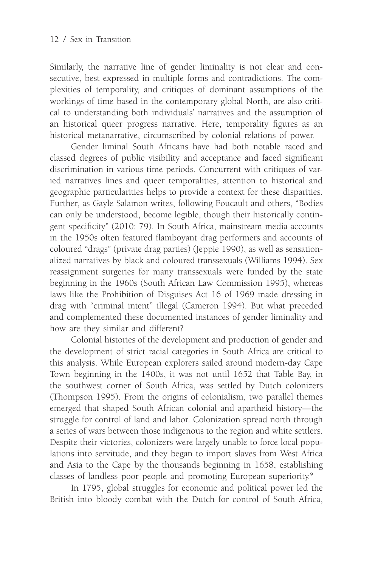Similarly, the narrative line of gender liminality is not clear and consecutive, best expressed in multiple forms and contradictions. The complexities of temporality, and critiques of dominant assumptions of the workings of time based in the contemporary global North, are also critical to understanding both individuals' narratives and the assumption of an historical queer progress narrative. Here, temporality figures as an historical metanarrative, circumscribed by colonial relations of power.

Gender liminal South Africans have had both notable raced and classed degrees of public visibility and acceptance and faced significant discrimination in various time periods. Concurrent with critiques of varied narratives lines and queer temporalities, attention to historical and geographic particularities helps to provide a context for these disparities. Further, as Gayle Salamon writes, following Foucault and others, "Bodies can only be understood, become legible, though their historically contingent specificity" (2010: 79). In South Africa, mainstream media accounts in the 1950s often featured flamboyant drag performers and accounts of coloured "drags" (private drag parties) (Jeppie 1990), as well as sensationalized narratives by black and coloured transsexuals (Williams 1994). Sex reassignment surgeries for many transsexuals were funded by the state beginning in the 1960s (South African Law Commission 1995), whereas laws like the Prohibition of Disguises Act 16 of 1969 made dressing in drag with "criminal intent" illegal (Cameron 1994). But what preceded and complemented these documented instances of gender liminality and how are they similar and different?

Colonial histories of the development and production of gender and the development of strict racial categories in South Africa are critical to this analysis. While European explorers sailed around modern-day Cape Town beginning in the 1400s, it was not until 1652 that Table Bay, in the southwest corner of South Africa, was settled by Dutch colonizers (Thompson 1995). From the origins of colonialism, two parallel themes emerged that shaped South African colonial and apartheid history—the struggle for control of land and labor. Colonization spread north through a series of wars between those indigenous to the region and white settlers. Despite their victories, colonizers were largely unable to force local populations into servitude, and they began to import slaves from West Africa and Asia to the Cape by the thousands beginning in 1658, establishing classes of landless poor people and promoting European superiority.9

In 1795, global struggles for economic and political power led the British into bloody combat with the Dutch for control of South Africa,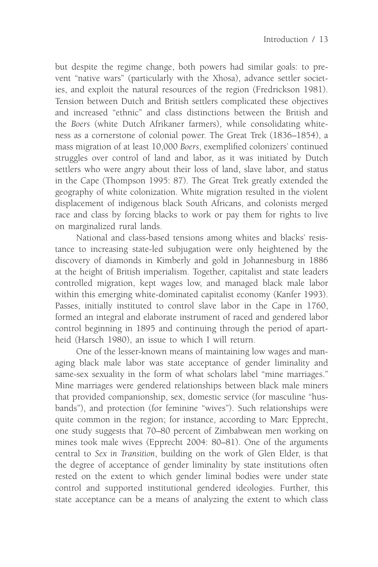but despite the regime change, both powers had similar goals: to prevent "native wars" (particularly with the Xhosa), advance settler societies, and exploit the natural resources of the region (Fredrickson 1981). Tension between Dutch and British settlers complicated these objectives and increased "ethnic" and class distinctions between the British and the *Boers* (white Dutch Afrikaner farmers), while consolidating whiteness as a cornerstone of colonial power. The Great Trek (1836*–*1854), a mass migration of at least 10,000 *Boers*, exemplified colonizers' continued struggles over control of land and labor, as it was initiated by Dutch settlers who were angry about their loss of land, slave labor, and status in the Cape (Thompson 1995: 87). The Great Trek greatly extended the geography of white colonization. White migration resulted in the violent displacement of indigenous black South Africans, and colonists merged race and class by forcing blacks to work or pay them for rights to live on marginalized rural lands.

National and class-based tensions among whites and blacks' resistance to increasing state-led subjugation were only heightened by the discovery of diamonds in Kimberly and gold in Johannesburg in 1886 at the height of British imperialism. Together, capitalist and state leaders controlled migration, kept wages low, and managed black male labor within this emerging white-dominated capitalist economy (Kanfer 1993). Passes, initially instituted to control slave labor in the Cape in 1760, formed an integral and elaborate instrument of raced and gendered labor control beginning in 1895 and continuing through the period of apartheid (Harsch 1980), an issue to which I will return.

One of the lesser-known means of maintaining low wages and managing black male labor was state acceptance of gender liminality and same-sex sexuality in the form of what scholars label "mine marriages." Mine marriages were gendered relationships between black male miners that provided companionship, sex, domestic service (for masculine "husbands"), and protection (for feminine "wives"). Such relationships were quite common in the region; for instance, according to Marc Epprecht, one study suggests that 70*–*80 percent of Zimbabwean men working on mines took male wives (Epprecht 2004: 80*–*81). One of the arguments central to *Sex in Transition*, building on the work of Glen Elder, is that the degree of acceptance of gender liminality by state institutions often rested on the extent to which gender liminal bodies were under state control and supported institutional gendered ideologies. Further, this state acceptance can be a means of analyzing the extent to which class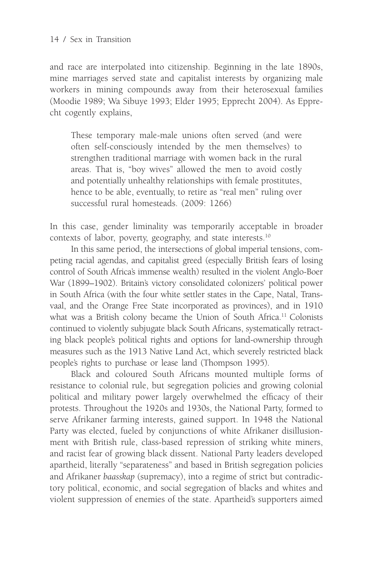and race are interpolated into citizenship. Beginning in the late 1890s, mine marriages served state and capitalist interests by organizing male workers in mining compounds away from their heterosexual families (Moodie 1989; Wa Sibuye 1993; Elder 1995; Epprecht 2004). As Epprecht cogently explains,

These temporary male-male unions often served (and were often self-consciously intended by the men themselves) to strengthen traditional marriage with women back in the rural areas. That is, "boy wives" allowed the men to avoid costly and potentially unhealthy relationships with female prostitutes, hence to be able, eventually, to retire as "real men" ruling over successful rural homesteads. (2009: 1266)

In this case, gender liminality was temporarily acceptable in broader contexts of labor, poverty, geography, and state interests.10

In this same period, the intersections of global imperial tensions, competing racial agendas, and capitalist greed (especially British fears of losing control of South Africa's immense wealth) resulted in the violent Anglo-Boer War (1899*–*1902). Britain's victory consolidated colonizers' political power in South Africa (with the four white settler states in the Cape, Natal, Transvaal, and the Orange Free State incorporated as provinces), and in 1910 what was a British colony became the Union of South Africa.11 Colonists continued to violently subjugate black South Africans, systematically retracting black people's political rights and options for land-ownership through measures such as the 1913 Native Land Act, which severely restricted black people's rights to purchase or lease land (Thompson 1995).

Black and coloured South Africans mounted multiple forms of resistance to colonial rule, but segregation policies and growing colonial political and military power largely overwhelmed the efficacy of their protests. Throughout the 1920s and 1930s, the National Party, formed to serve Afrikaner farming interests, gained support. In 1948 the National Party was elected, fueled by conjunctions of white Afrikaner disillusionment with British rule, class-based repression of striking white miners, and racist fear of growing black dissent. National Party leaders developed apartheid, literally "separateness" and based in British segregation policies and Afrikaner *baasskap* (supremacy), into a regime of strict but contradictory political, economic, and social segregation of blacks and whites and violent suppression of enemies of the state. Apartheid's supporters aimed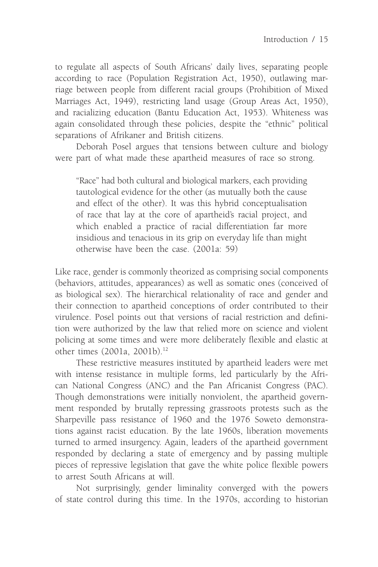to regulate all aspects of South Africans' daily lives, separating people according to race (Population Registration Act, 1950), outlawing marriage between people from different racial groups (Prohibition of Mixed Marriages Act, 1949), restricting land usage (Group Areas Act, 1950), and racializing education (Bantu Education Act, 1953). Whiteness was again consolidated through these policies, despite the "ethnic" political separations of Afrikaner and British citizens.

Deborah Posel argues that tensions between culture and biology were part of what made these apartheid measures of race so strong.

"Race" had both cultural and biological markers, each providing tautological evidence for the other (as mutually both the cause and effect of the other). It was this hybrid conceptualisation of race that lay at the core of apartheid's racial project, and which enabled a practice of racial differentiation far more insidious and tenacious in its grip on everyday life than might otherwise have been the case. (2001a: 59)

Like race, gender is commonly theorized as comprising social components (behaviors, attitudes, appearances) as well as somatic ones (conceived of as biological sex). The hierarchical relationality of race and gender and their connection to apartheid conceptions of order contributed to their virulence. Posel points out that versions of racial restriction and definition were authorized by the law that relied more on science and violent policing at some times and were more deliberately flexible and elastic at other times (2001a, 2001b).12

These restrictive measures instituted by apartheid leaders were met with intense resistance in multiple forms, led particularly by the African National Congress (ANC) and the Pan Africanist Congress (PAC). Though demonstrations were initially nonviolent, the apartheid government responded by brutally repressing grassroots protests such as the Sharpeville pass resistance of 1960 and the 1976 Soweto demonstrations against racist education. By the late 1960s, liberation movements turned to armed insurgency. Again, leaders of the apartheid government responded by declaring a state of emergency and by passing multiple pieces of repressive legislation that gave the white police flexible powers to arrest South Africans at will.

Not surprisingly, gender liminality converged with the powers of state control during this time. In the 1970s, according to historian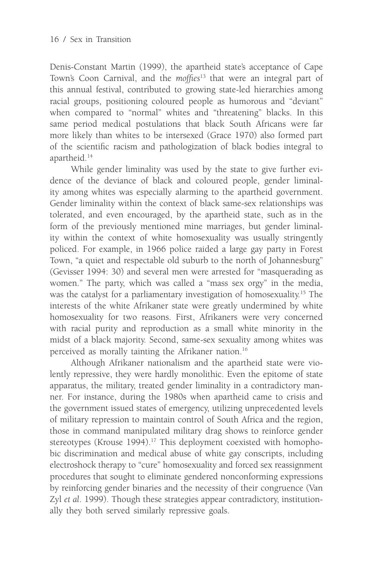Denis-Constant Martin (1999), the apartheid state's acceptance of Cape Town's Coon Carnival, and the *moffies*<sup>13</sup> that were an integral part of this annual festival, contributed to growing state-led hierarchies among racial groups, positioning coloured people as humorous and "deviant" when compared to "normal" whites and "threatening" blacks. In this same period medical postulations that black South Africans were far more likely than whites to be intersexed (Grace 1970) also formed part of the scientific racism and pathologization of black bodies integral to apartheid.<sup>14</sup>

While gender liminality was used by the state to give further evidence of the deviance of black and coloured people, gender liminality among whites was especially alarming to the apartheid government. Gender liminality within the context of black same-sex relationships was tolerated, and even encouraged, by the apartheid state, such as in the form of the previously mentioned mine marriages, but gender liminality within the context of white homosexuality was usually stringently policed. For example, in 1966 police raided a large gay party in Forest Town, "a quiet and respectable old suburb to the north of Johannesburg" (Gevisser 1994: 30) and several men were arrested for "masquerading as women." The party, which was called a "mass sex orgy" in the media, was the catalyst for a parliamentary investigation of homosexuality.15 The interests of the white Afrikaner state were greatly undermined by white homosexuality for two reasons. First, Afrikaners were very concerned with racial purity and reproduction as a small white minority in the midst of a black majority. Second, same-sex sexuality among whites was perceived as morally tainting the Afrikaner nation.<sup>16</sup>

Although Afrikaner nationalism and the apartheid state were violently repressive, they were hardly monolithic. Even the epitome of state apparatus, the military, treated gender liminality in a contradictory manner. For instance, during the 1980s when apartheid came to crisis and the government issued states of emergency, utilizing unprecedented levels of military repression to maintain control of South Africa and the region, those in command manipulated military drag shows to reinforce gender stereotypes (Krouse 1994).<sup>17</sup> This deployment coexisted with homophobic discrimination and medical abuse of white gay conscripts, including electroshock therapy to "cure" homosexuality and forced sex reassignment procedures that sought to eliminate gendered nonconforming expressions by reinforcing gender binaries and the necessity of their congruence (Van Zyl *et al*. 1999). Though these strategies appear contradictory, institutionally they both served similarly repressive goals.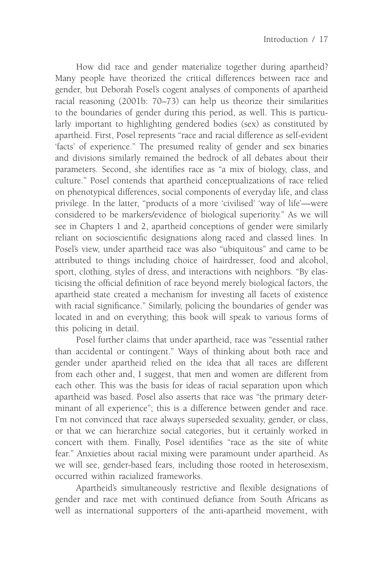How did race and gender materialize together during apartheid? Many people have theorized the critical differences between race and gender, but Deborah Posel's cogent analyses of components of apartheid racial reasoning (2001b: 70*–*73) can help us theorize their similarities to the boundaries of gender during this period, as well. This is particularly important to highlighting gendered bodies (sex) as constituted by apartheid. First, Posel represents "race and racial difference as self-evident 'facts' of experience." The presumed reality of gender and sex binaries and divisions similarly remained the bedrock of all debates about their parameters. Second, she identifies race as "a mix of biology, class, and culture." Posel contends that apartheid conceptualizations of race relied on phenotypical differences, social components of everyday life, and class privilege. In the latter, "products of a more 'civilised' 'way of life'—were considered to be markers/evidence of biological superiority." As we will see in Chapters 1 and 2, apartheid conceptions of gender were similarly reliant on socioscientific designations along raced and classed lines. In Posel's view, under apartheid race was also "ubiquitous" and came to be attributed to things including choice of hairdresser, food and alcohol, sport, clothing, styles of dress, and interactions with neighbors. "By elasticising the official definition of race beyond merely biological factors, the apartheid state created a mechanism for investing all facets of existence with racial significance." Similarly, policing the boundaries of gender was located in and on everything; this book will speak to various forms of this policing in detail.

Posel further claims that under apartheid, race was "essential rather than accidental or contingent." Ways of thinking about both race and gender under apartheid relied on the idea that all races are different from each other and, I suggest, that men and women are different from each other. This was the basis for ideas of racial separation upon which apartheid was based. Posel also asserts that race was "the primary determinant of all experience"; this is a difference between gender and race. I'm not convinced that race always superseded sexuality, gender, or class, or that we can hierarchize social categories, but it certainly worked in concert with them. Finally, Posel identifies "race as the site of white fear." Anxieties about racial mixing were paramount under apartheid. As we will see, gender-based fears, including those rooted in heterosexism, occurred within racialized frameworks.

Apartheid's simultaneously restrictive and flexible designations of gender and race met with continued defiance from South Africans as well as international supporters of the anti-apartheid movement, with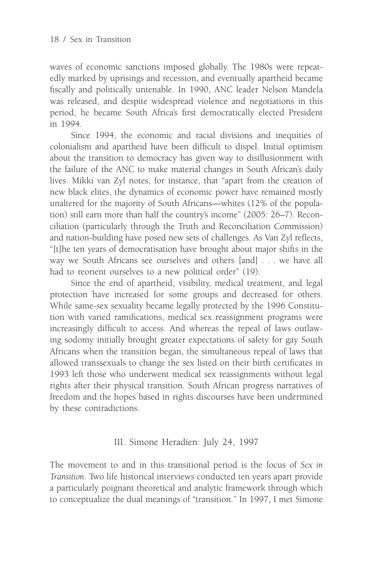waves of economic sanctions imposed globally. The 1980s were repeatedly marked by uprisings and recession, and eventually apartheid became fiscally and politically untenable. In 1990, ANC leader Nelson Mandela was released, and despite widespread violence and negotiations in this period, he became South Africa's first democratically elected President in 1994.

Since 1994, the economic and racial divisions and inequities of colonialism and apartheid have been difficult to dispel. Initial optimism about the transition to democracy has given way to disillusionment with the failure of the ANC to make material changes in South African's daily lives. Mikki van Zyl notes, for instance, that "apart from the creation of new black elites, the dynamics of economic power have remained mostly unaltered for the majority of South Africans—whites (12% of the population) still earn more than half the country's income" (2005: 26–7). Reconciliation (particularly through the Truth and Reconciliation Commission) and nation-building have posed new sets of challenges. As Van Zyl reflects, "[t]he ten years of democratisation have brought about major shifts in the way we South Africans see ourselves and others [and] . . . we have all had to reorient ourselves to a new political order" (19).

Since the end of apartheid, visibility, medical treatment, and legal protection have increased for some groups and decreased for others. While same-sex sexuality became legally protected by the 1996 Constitution with varied ramifications, medical sex reassignment programs were increasingly difficult to access. And whereas the repeal of laws outlawing sodomy initially brought greater expectations of safety for gay South Africans when the transition began, the simultaneous repeal of laws that allowed transsexuals to change the sex listed on their birth certificates in 1993 left those who underwent medical sex reassignments without legal rights after their physical transition. South African progress narratives of freedom and the hopes based in rights discourses have been undermined by these contradictions.

## III. Simone Heradien: July 24, 1997

The movement to and in this transitional period is the focus of *Sex in Transition*. Two life historical interviews conducted ten years apart provide a particularly poignant theoretical and analytic framework through which to conceptualize the dual meanings of "transition." In 1997, I met Simone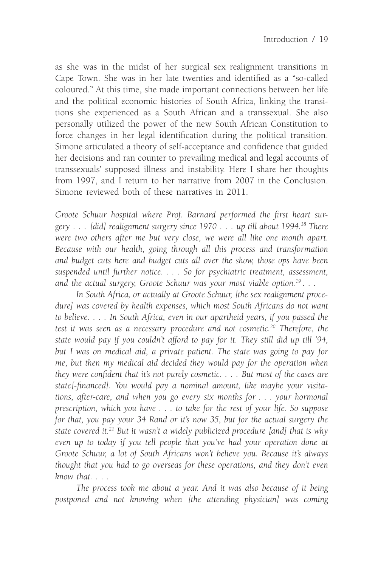as she was in the midst of her surgical sex realignment transitions in Cape Town. She was in her late twenties and identified as a "so-called coloured." At this time, she made important connections between her life and the political economic histories of South Africa, linking the transitions she experienced as a South African and a transsexual. She also personally utilized the power of the new South African Constitution to force changes in her legal identification during the political transition. Simone articulated a theory of self-acceptance and confidence that guided her decisions and ran counter to prevailing medical and legal accounts of transsexuals' supposed illness and instability. Here I share her thoughts from 1997, and I return to her narrative from 2007 in the Conclusion. Simone reviewed both of these narratives in 2011.

*Groote Schuur hospital where Prof. Barnard performed the first heart surgery . . . [did] realignment surgery since 1970 . . . up till about 1994.18 There*  were two others after me but very close, we were all like one month apart. *Because with our health, going through all this process and transformation and budget cuts here and budget cuts all over the show, those ops have been suspended until further notice. . . . So for psychiatric treatment, assessment, and the actual surgery, Groote Schuur was your most viable option.19 . . .*

*In South Africa, or actually at Groote Schuur, [the sex realignment procedure] was covered by health expenses, which most South Africans do not want to believe. . . . In South Africa, even in our apartheid years, if you passed the test it was seen as a necessary procedure and not cosmetic.20 Therefore, the state would pay if you couldn't afford to pay for it. They still did up till '94, but I was on medical aid, a private patient. The state was going to pay for me, but then my medical aid decided they would pay for the operation when they were confident that it's not purely cosmetic. . . . But most of the cases are state[-financed]. You would pay a nominal amount, like maybe your visitations, after-care, and when you go every six months for . . . your hormonal prescription, which you have . . . to take for the rest of your life. So suppose for that, you pay your 34 Rand or it's now 35, but for the actual surgery the state covered it.21 But it wasn't a widely publicized procedure [and] that is why even up to today if you tell people that you've had your operation done at Groote Schuur, a lot of South Africans won't believe you. Because it's always thought that you had to go overseas for these operations, and they don't even know that. . . .*

*The process took me about a year. And it was also because of it being postponed and not knowing when [the attending physician] was coming*